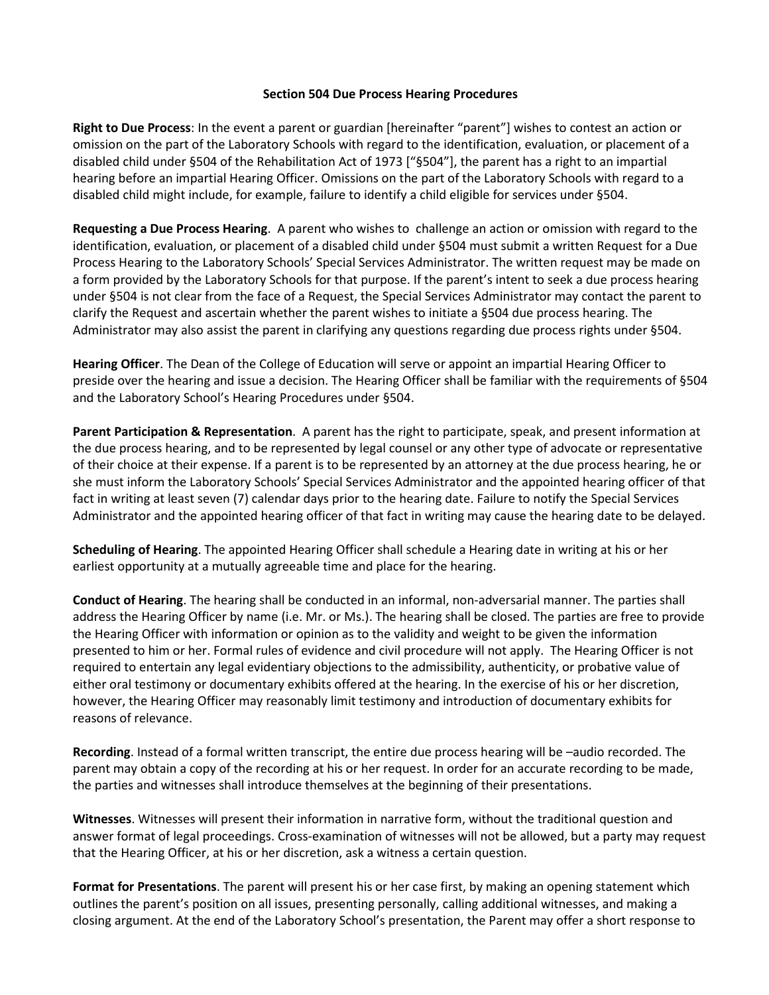## Section 504 Due Process Hearing Procedures

Right to Due Process: In the event a parent or guardian [hereinafter "parent"] wishes to contest an action or omission on the part of the Laboratory Schools with regard to the identification, evaluation, or placement of a disabled child under §504 of the Rehabilitation Act of 1973 ["§504"], the parent has a right to an impartial hearing before an impartial Hearing Officer. Omissions on the part of the Laboratory Schools with regard to a disabled child might include, for example, failure to identify a child eligible for services under §504.

Requesting a Due Process Hearing. A parent who wishes to challenge an action or omission with regard to the identification, evaluation, or placement of a disabled child under §504 must submit a written Request for a Due Process Hearing to the Laboratory Schools' Special Services Administrator. The written request may be made on a form provided by the Laboratory Schools for that purpose. If the parent's intent to seek a due process hearing under §504 is not clear from the face of a Request, the Special Services Administrator may contact the parent to clarify the Request and ascertain whether the parent wishes to initiate a §504 due process hearing. The Administrator may also assist the parent in clarifying any questions regarding due process rights under §504.

Hearing Officer. The Dean of the College of Education will serve or appoint an impartial Hearing Officer to preside over the hearing and issue a decision. The Hearing Officer shall be familiar with the requirements of §504 and the Laboratory School's Hearing Procedures under §504.

Parent Participation & Representation. A parent has the right to participate, speak, and present information at the due process hearing, and to be represented by legal counsel or any other type of advocate or representative of their choice at their expense. If a parent is to be represented by an attorney at the due process hearing, he or she must inform the Laboratory Schools' Special Services Administrator and the appointed hearing officer of that fact in writing at least seven (7) calendar days prior to the hearing date. Failure to notify the Special Services Administrator and the appointed hearing officer of that fact in writing may cause the hearing date to be delayed.

Scheduling of Hearing. The appointed Hearing Officer shall schedule a Hearing date in writing at his or her earliest opportunity at a mutually agreeable time and place for the hearing.

Conduct of Hearing. The hearing shall be conducted in an informal, non-adversarial manner. The parties shall address the Hearing Officer by name (i.e. Mr. or Ms.). The hearing shall be closed. The parties are free to provide the Hearing Officer with information or opinion as to the validity and weight to be given the information presented to him or her. Formal rules of evidence and civil procedure will not apply. The Hearing Officer is not required to entertain any legal evidentiary objections to the admissibility, authenticity, or probative value of either oral testimony or documentary exhibits offered at the hearing. In the exercise of his or her discretion, however, the Hearing Officer may reasonably limit testimony and introduction of documentary exhibits for reasons of relevance.

Recording. Instead of a formal written transcript, the entire due process hearing will be –audio recorded. The parent may obtain a copy of the recording at his or her request. In order for an accurate recording to be made, the parties and witnesses shall introduce themselves at the beginning of their presentations.

Witnesses. Witnesses will present their information in narrative form, without the traditional question and answer format of legal proceedings. Cross-examination of witnesses will not be allowed, but a party may request that the Hearing Officer, at his or her discretion, ask a witness a certain question.

Format for Presentations. The parent will present his or her case first, by making an opening statement which outlines the parent's position on all issues, presenting personally, calling additional witnesses, and making a closing argument. At the end of the Laboratory School's presentation, the Parent may offer a short response to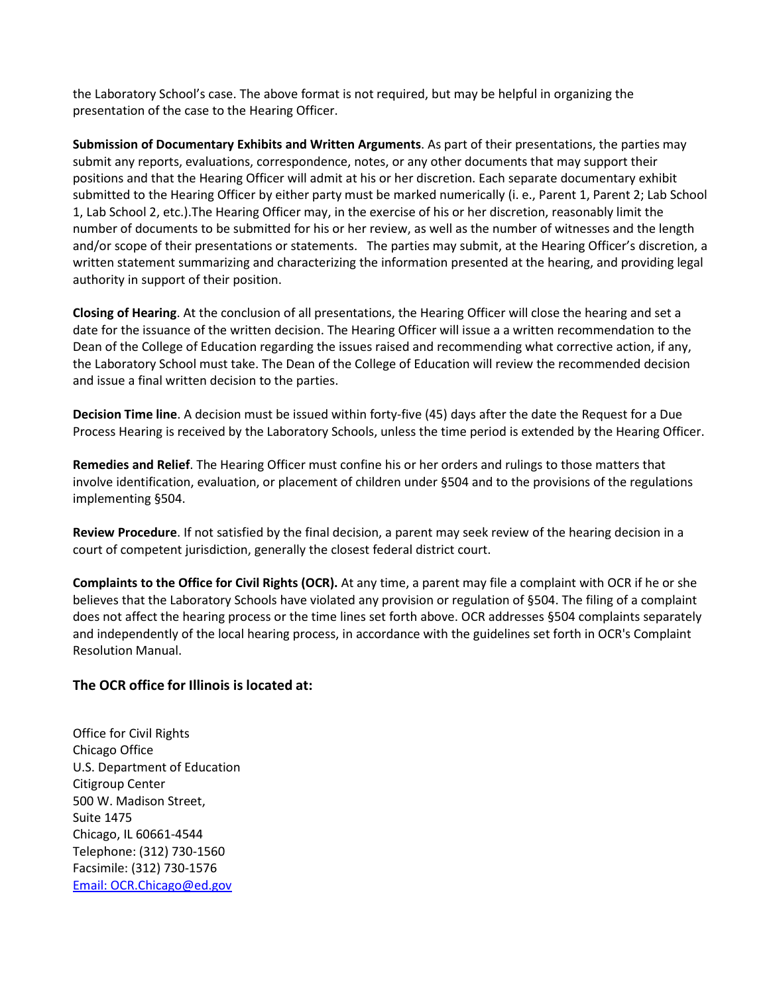the Laboratory School's case. The above format is not required, but may be helpful in organizing the presentation of the case to the Hearing Officer.

Submission of Documentary Exhibits and Written Arguments. As part of their presentations, the parties may submit any reports, evaluations, correspondence, notes, or any other documents that may support their positions and that the Hearing Officer will admit at his or her discretion. Each separate documentary exhibit submitted to the Hearing Officer by either party must be marked numerically (i. e., Parent 1, Parent 2; Lab School 1, Lab School 2, etc.).The Hearing Officer may, in the exercise of his or her discretion, reasonably limit the number of documents to be submitted for his or her review, as well as the number of witnesses and the length and/or scope of their presentations or statements. The parties may submit, at the Hearing Officer's discretion, a written statement summarizing and characterizing the information presented at the hearing, and providing legal authority in support of their position.

Closing of Hearing. At the conclusion of all presentations, the Hearing Officer will close the hearing and set a date for the issuance of the written decision. The Hearing Officer will issue a a written recommendation to the Dean of the College of Education regarding the issues raised and recommending what corrective action, if any, the Laboratory School must take. The Dean of the College of Education will review the recommended decision and issue a final written decision to the parties.

Decision Time line. A decision must be issued within forty-five (45) days after the date the Request for a Due Process Hearing is received by the Laboratory Schools, unless the time period is extended by the Hearing Officer.

Remedies and Relief. The Hearing Officer must confine his or her orders and rulings to those matters that involve identification, evaluation, or placement of children under §504 and to the provisions of the regulations implementing §504.

Review Procedure. If not satisfied by the final decision, a parent may seek review of the hearing decision in a court of competent jurisdiction, generally the closest federal district court.

Complaints to the Office for Civil Rights (OCR). At any time, a parent may file a complaint with OCR if he or she believes that the Laboratory Schools have violated any provision or regulation of §504. The filing of a complaint does not affect the hearing process or the time lines set forth above. OCR addresses §504 complaints separately and independently of the local hearing process, in accordance with the guidelines set forth in OCR's Complaint Resolution Manual.

## The OCR office for Illinois is located at:

Office for Civil Rights Chicago Office U.S. Department of Education Citigroup Center 500 W. Madison Street, Suite 1475 Chicago, IL 60661-4544 Telephone: (312) 730-1560 Facsimile: (312) 730-1576 Email: OCR.Chicago@ed.gov